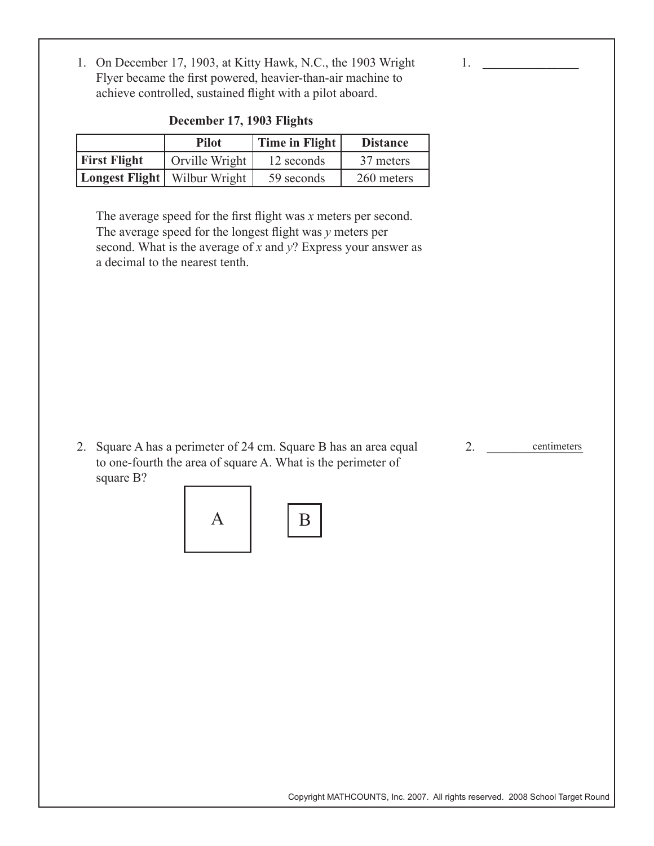1. On December 17, 1903, at Kitty Hawk, N.C., the 1903 Wright Flyer became the first powered, heavier-than-air machine to achieve controlled, sustained flight with a pilot aboard.

|                                       | <b>Pilot</b>   | Time in Flight | <b>Distance</b> |
|---------------------------------------|----------------|----------------|-----------------|
| <b>First Flight</b>                   | Orville Wright | 12 seconds     | 37 meters       |
| <b>Longest Flight</b>   Wilbur Wright |                | 59 seconds     | 260 meters      |

**December 17, 1903 Flights**

The average speed for the first flight was *x* meters per second. The average speed for the longest flight was *y* meters per second. What is the average of *x* and *y*? Express your answer as a decimal to the nearest tenth.

2. Square A has a perimeter of 24 cm. Square B has an area equal to one-fourth the area of square A. What is the perimeter of square B?

2. centimeters

1. **\_\_\_\_\_\_\_\_\_\_\_\_\_\_\_\_\_\_\_**



Copyright MATHCOUNTS, Inc. 2007. All rights reserved. 2008 School Target Round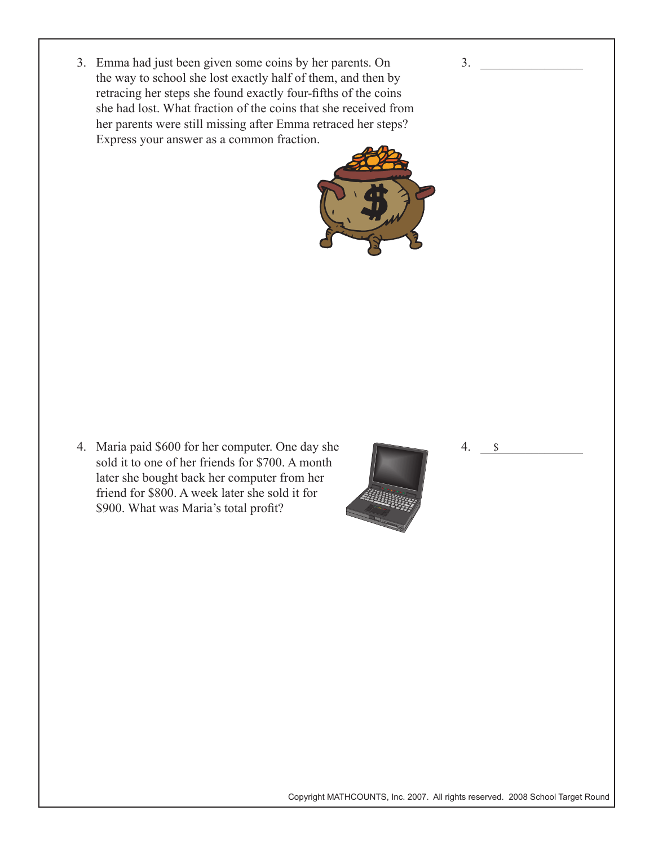3. Emma had just been given some coins by her parents. On the way to school she lost exactly half of them, and then by retracing her steps she found exactly four-fifths of the coins she had lost. What fraction of the coins that she received from her parents were still missing after Emma retraced her steps? Express your answer as a common fraction.



 $3.$ 

4. Maria paid \$600 for her computer. One day she sold it to one of her friends for \$700. A month later she bought back her computer from her friend for \$800. A week later she sold it for \$900. What was Maria's total profit?



Copyright MATHCOUNTS, Inc. 2007. All rights reserved. 2008 School Target Round

4. \_\_\_\_\_\_\_\_\_\_\_\_\_\_\_\_

\$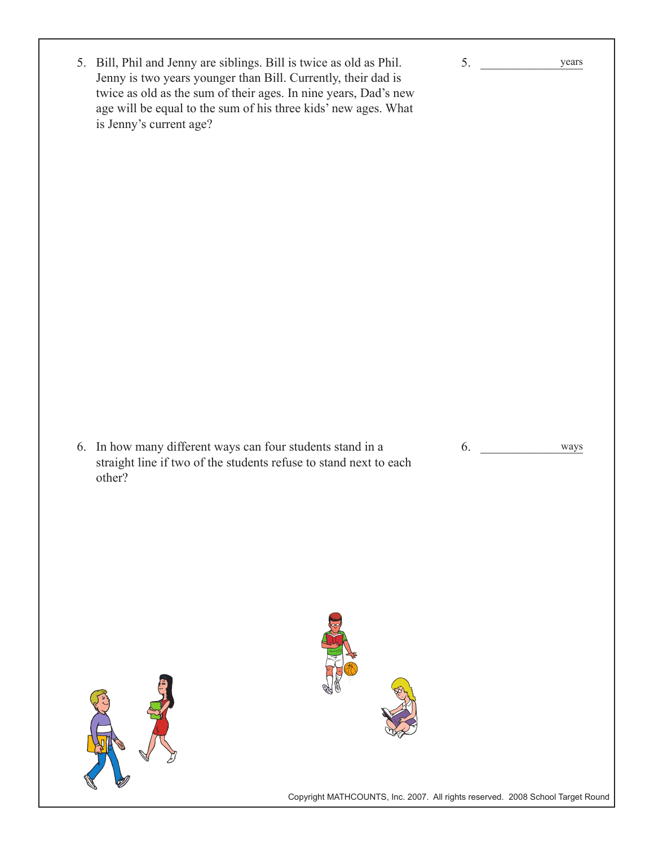Copyright MATHCOUNTS, Inc. 2007. All rights reserved. 2008 School Target Round  $5.$ 6. ways 5. Bill, Phil and Jenny are siblings. Bill is twice as old as Phil. Jenny is two years younger than Bill. Currently, their dad is twice as old as the sum of their ages. In nine years, Dad's new age will be equal to the sum of his three kids' new ages. What is Jenny's current age? 6. In how many different ways can four students stand in a straight line if two of the students refuse to stand next to each other? years